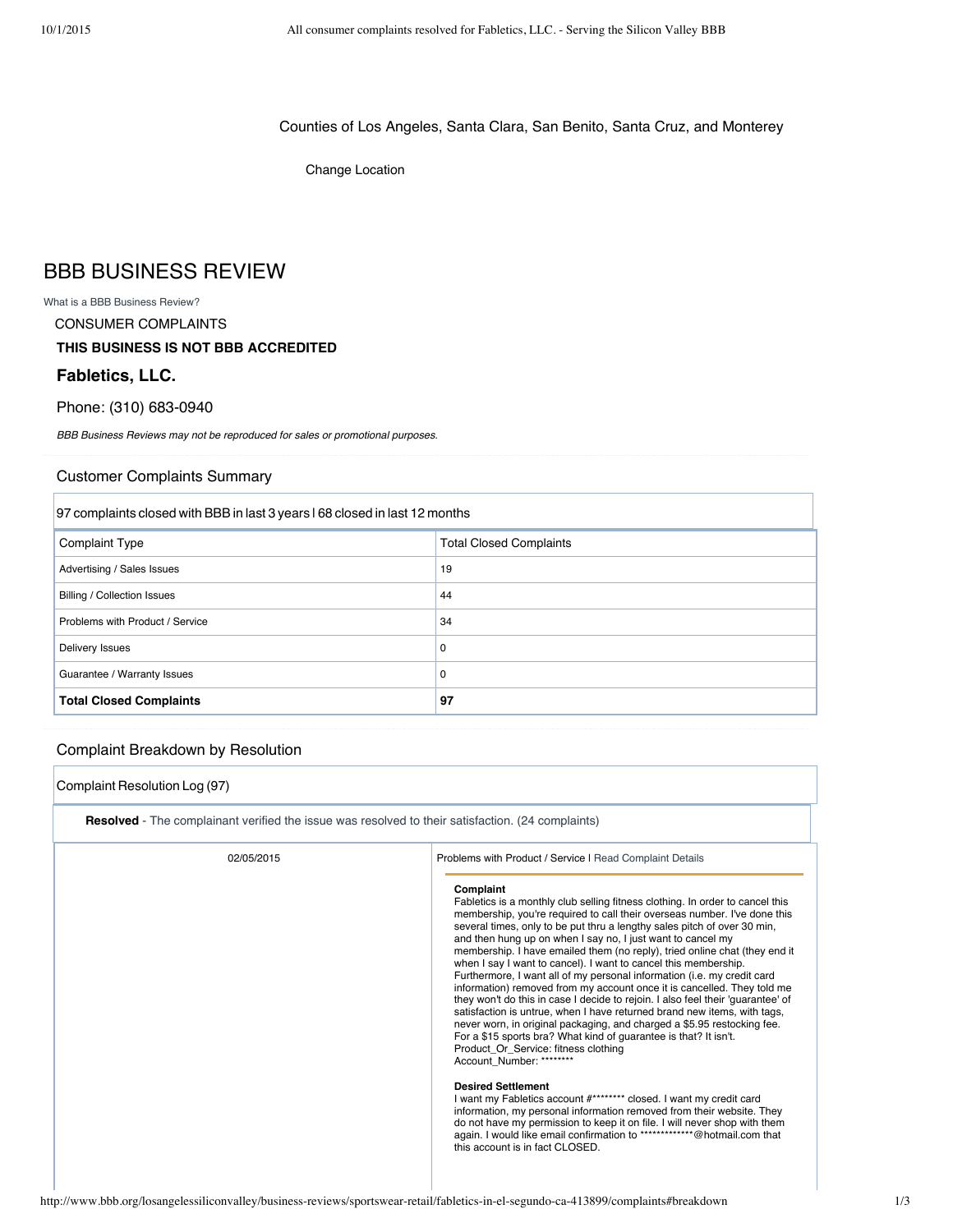Counties of Los Angeles, Santa Clara, San Benito, Santa Cruz, and Monterey

Change Location

# BBB BUSINESS REVIEW

What is a BBB Business Review?

CONSUMER COMPLAINTS

## **THIS BUSINESS IS NOT BBB ACCREDITED**

### **Fabletics, LLC.**

### Phone: (310) 683-0940

BBB Business Reviews may not be reproduced for sales or promotional purposes.

#### Customer Complaints Summary

| 97 complaints closed with BBB in last 3 years 168 closed in last 12 months |                                |  |
|----------------------------------------------------------------------------|--------------------------------|--|
| <b>Complaint Type</b>                                                      | <b>Total Closed Complaints</b> |  |
| Advertising / Sales Issues                                                 | 19                             |  |
| <b>Billing / Collection Issues</b>                                         | 44                             |  |
| Problems with Product / Service                                            | 34                             |  |
| Delivery Issues                                                            | 0                              |  |
| Guarantee / Warranty Issues                                                | 0                              |  |
| <b>Total Closed Complaints</b>                                             | 97                             |  |

## Complaint Breakdown by Resolution

| Complaint Resolution Log (97)                                                                            |                                                                                                                                                                                                                                                                                                                                                                                                                                                                                                                                                                                                                                                                                                                                                                                                                                                                                                                                                                                                                                                                                                                                                                                                                                                                                                                                                                                        |  |  |  |
|----------------------------------------------------------------------------------------------------------|----------------------------------------------------------------------------------------------------------------------------------------------------------------------------------------------------------------------------------------------------------------------------------------------------------------------------------------------------------------------------------------------------------------------------------------------------------------------------------------------------------------------------------------------------------------------------------------------------------------------------------------------------------------------------------------------------------------------------------------------------------------------------------------------------------------------------------------------------------------------------------------------------------------------------------------------------------------------------------------------------------------------------------------------------------------------------------------------------------------------------------------------------------------------------------------------------------------------------------------------------------------------------------------------------------------------------------------------------------------------------------------|--|--|--|
| <b>Resolved</b> - The complainant verified the issue was resolved to their satisfaction. (24 complaints) |                                                                                                                                                                                                                                                                                                                                                                                                                                                                                                                                                                                                                                                                                                                                                                                                                                                                                                                                                                                                                                                                                                                                                                                                                                                                                                                                                                                        |  |  |  |
| 02/05/2015                                                                                               | Problems with Product / Service I Read Complaint Details                                                                                                                                                                                                                                                                                                                                                                                                                                                                                                                                                                                                                                                                                                                                                                                                                                                                                                                                                                                                                                                                                                                                                                                                                                                                                                                               |  |  |  |
|                                                                                                          | Complaint<br>Fabletics is a monthly club selling fitness clothing. In order to cancel this<br>membership, you're required to call their overseas number. I've done this<br>several times, only to be put thru a lengthy sales pitch of over 30 min,<br>and then hung up on when I say no, I just want to cancel my<br>membership. I have emailed them (no reply), tried online chat (they end it<br>when I say I want to cancel). I want to cancel this membership.<br>Furthermore, I want all of my personal information (i.e. my credit card<br>information) removed from my account once it is cancelled. They told me<br>they won't do this in case I decide to rejoin. I also feel their 'quarantee' of<br>satisfaction is untrue, when I have returned brand new items, with tags,<br>never worn, in original packaging, and charged a \$5.95 restocking fee.<br>For a \$15 sports bra? What kind of quarantee is that? It isn't.<br>Product Or Service: fitness clothing<br>Account Number: ********<br><b>Desired Settlement</b><br>I want my Fabletics account #******** closed. I want my credit card<br>information, my personal information removed from their website. They<br>do not have my permission to keep it on file. I will never shop with them<br>again. I would like email confirmation to ***************@hotmail.com that<br>this account is in fact CLOSED. |  |  |  |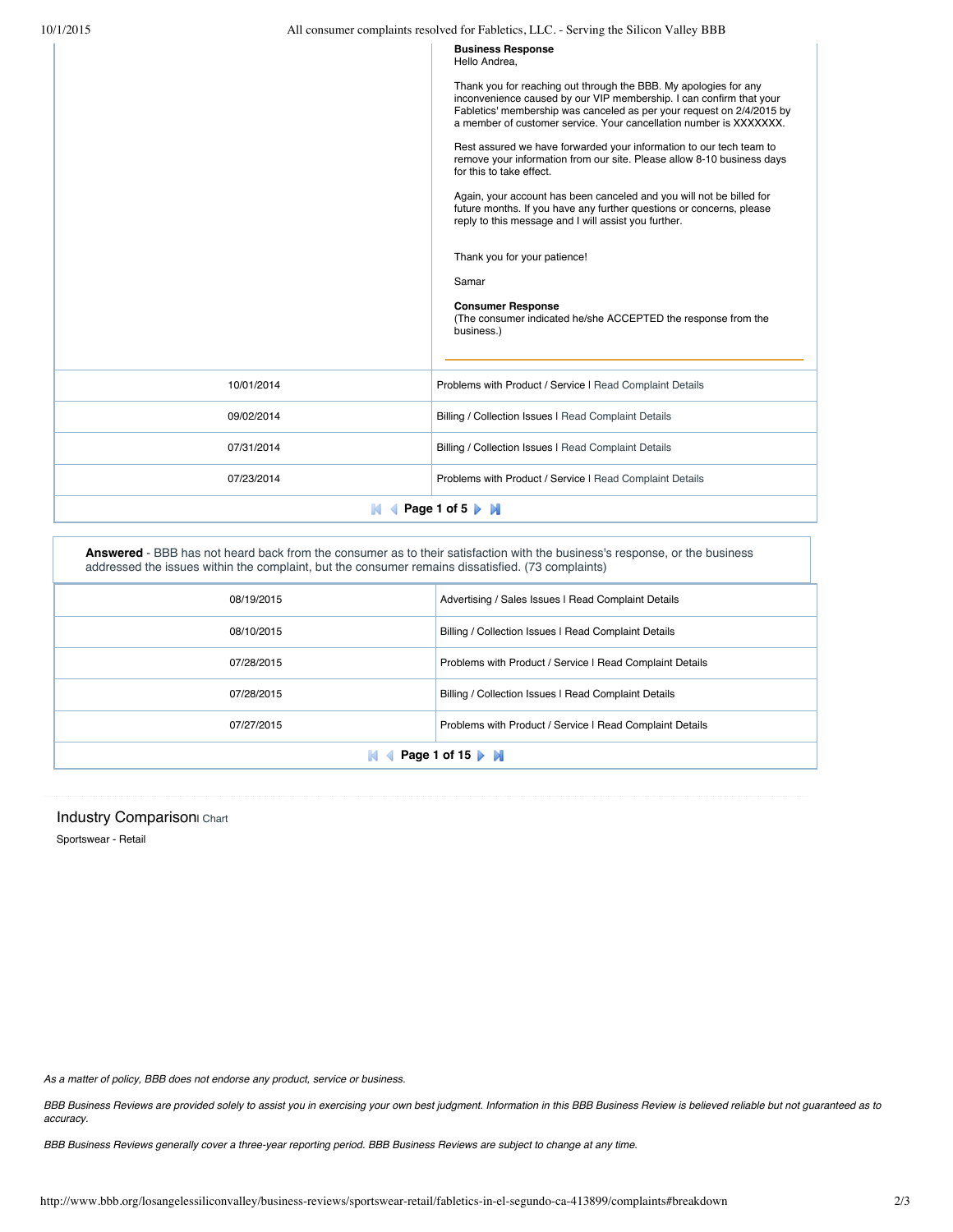| Problems with Product / Service I Read Complaint Details<br>07/23/2014 | 10/01/2014<br>09/02/2014 | Again, your account has been canceled and you will not be billed for<br>future months. If you have any further questions or concerns, please<br>reply to this message and I will assist you further.<br>Thank you for your patience!<br>Samar<br><b>Consumer Response</b><br>(The consumer indicated he/she ACCEPTED the response from the<br>business.)<br>Problems with Product / Service I Read Complaint Details<br>Billing / Collection Issues I Read Complaint Details |  |
|------------------------------------------------------------------------|--------------------------|------------------------------------------------------------------------------------------------------------------------------------------------------------------------------------------------------------------------------------------------------------------------------------------------------------------------------------------------------------------------------------------------------------------------------------------------------------------------------|--|
|                                                                        | 07/31/2014               | Billing / Collection Issues I Read Complaint Details                                                                                                                                                                                                                                                                                                                                                                                                                         |  |
| <b>4</b> Page 1 of 5 ▶ M<br>N                                          |                          |                                                                                                                                                                                                                                                                                                                                                                                                                                                                              |  |

**Answered** - BBB has not heard back from the consumer as to their satisfaction with the business's response, or the business addressed the issues within the complaint, but the consumer remains dissatisfied. (73 complaints)

| Advertising / Sales Issues I Read Complaint Details<br>08/19/2015 |                                                          |  |
|-------------------------------------------------------------------|----------------------------------------------------------|--|
| 08/10/2015                                                        | Billing / Collection Issues   Read Complaint Details     |  |
| 07/28/2015                                                        | Problems with Product / Service I Read Complaint Details |  |
| 07/28/2015                                                        | Billing / Collection Issues   Read Complaint Details     |  |
| 07/27/2015                                                        | Problems with Product / Service I Read Complaint Details |  |
| Page 1 of 15 $\blacktriangleright$ M                              |                                                          |  |

#### Industry Comparison Chart

Sportswear - Retail

As a matter of policy, BBB does not endorse any product, service or business.

BBB Business Reviews are provided solely to assist you in exercising your own best judgment. Information in this BBB Business Review is believed reliable but not guaranteed as to accuracy.

BBB Business Reviews generally cover a three-year reporting period. BBB Business Reviews are subject to change at any time.